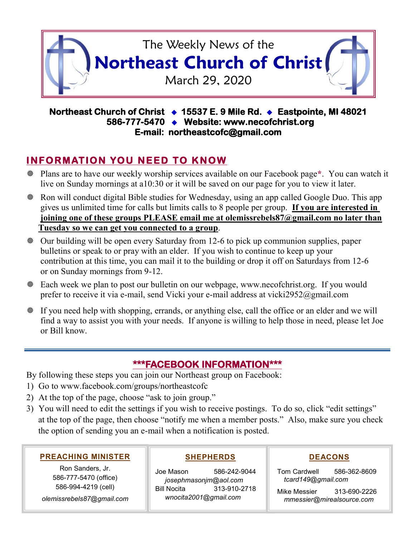

### **Northeast Church of Christ 15537 E. 9 Mile Rd. Eastpointe, MI 48021 586-777-5470 Website: www.necofchrist.org E-mail: northeastcofc@gmail.com**

# **INFORMATION YOU NEED TO KNOW**

- Plans are to have our weekly worship services available on our Facebook page**\***. You can watch it live on Sunday mornings at a10:30 or it will be saved on our page for you to view it later.
- Ron will conduct digital Bible studies for Wednesday, using an app called Google Duo. This app gives us unlimited time for calls but limits calls to 8 people per group. **If you are interested in joining one of these groups PLEASE email me at olemissrebels87@gmail.com no later than Tuesday so we can get you connected to a group**.
- Our building will be open every Saturday from 12-6 to pick up communion supplies, paper bulletins or speak to or pray with an elder. If you wish to continue to keep up your contribution at this time, you can mail it to the building or drop it off on Saturdays from 12-6 or on Sunday mornings from 9-12.
- Each week we plan to post our bulletin on our webpage, www.necofchrist.org. If you would prefer to receive it via e-mail, send Vicki your e-mail address at vicki2952@gmail.com
- If you need help with shopping, errands, or anything else, call the office or an elder and we will find a way to assist you with your needs. If anyone is willing to help those in need, please let Joe or Bill know.

## **\*\*\*FACEBOOK INFORMATION\*\*\***

- By following these steps you can join our Northeast group on Facebook:
- 1) Go to www.facebook.com/groups/northeastcofc
- 2) At the top of the page, choose "ask to join group."
- 3) You will need to edit the settings if you wish to receive postings. To do so, click "edit settings" at the top of the page, then choose "notify me when a member posts." Also, make sure you check the option of sending you an e-mail when a notification is posted.

#### **PREACHING MINISTER**

Ron Sanders, Jr. 586-777-5470 (office) 586-994-4219 (cell)

*olemissrebels87@gmail.com*

#### **SHEPHERDS**

Joe Mason 586-242-9044 *josephmasonjm@aol.com* Bill Nocita 313-910-2718 *wnocita2001@gmail.com*

#### **DEACONS**

Tom Cardwell 586-362-8609 *tcard149@gmail.com*

Mike Messier 313-690-2226 *mmessier@mirealsource.com*